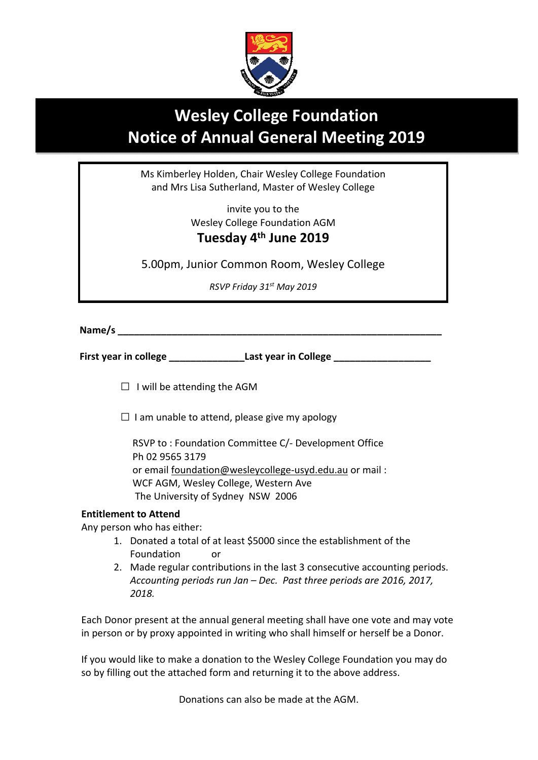

## **Wesley College Foundation Notice of Annual General Meeting 2019**

Ms Kimberley Holden, Chair Wesley College Foundation and Mrs Lisa Sutherland, Master of Wesley College

> invite you to the Wesley College Foundation AGM **Tuesday 4th June 2019**

5.00pm, Junior Common Room, Wesley College

*RSVP Friday 31st May 2019* 

Name/s

**First year in college \_\_\_\_\_\_\_\_\_\_\_\_\_\_Last year in College \_\_\_\_\_\_\_\_\_\_\_\_\_\_\_\_\_\_** 

 $\Box$  I will be attending the AGM

 $\square$  I am unable to attend, please give my apology

 RSVP to : Foundation Committee C/‐ Development Office Ph 02 9565 3179 or email foundation@wesleycollege‐usyd.edu.au or mail : WCF AGM, Wesley College, Western Ave The University of Sydney NSW 2006

## **Entitlement to Attend**

Any person who has either:

- 1. Donated a total of at least \$5000 since the establishment of the Foundation or
- 2. Made regular contributions in the last 3 consecutive accounting periods. *Accounting periods run Jan – Dec. Past three periods are 2016, 2017, 2018.*

Each Donor present at the annual general meeting shall have one vote and may vote in person or by proxy appointed in writing who shall himself or herself be a Donor.

If you would like to make a donation to the Wesley College Foundation you may do so by filling out the attached form and returning it to the above address.

Donations can also be made at the AGM.